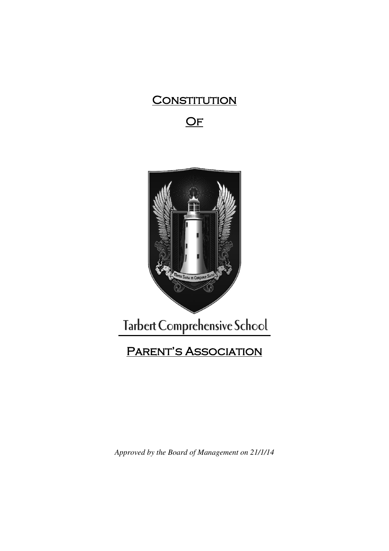# **CONSTITUTION** OF



*Approved by the Board of Management on 21/1/14*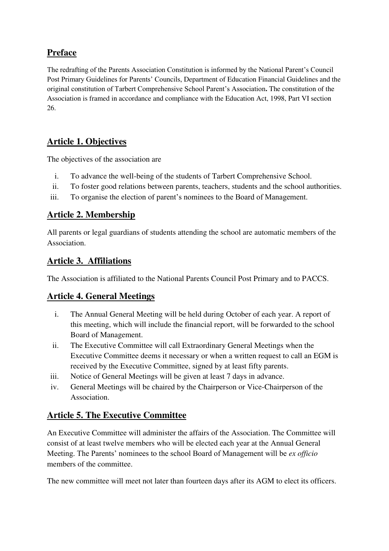# **Preface**

The redrafting of the Parents Association Constitution is informed by the National Parent's Council Post Primary Guidelines for Parents' Councils, Department of Education Financial Guidelines and the original constitution of Tarbert Comprehensive School Parent's Association**.** The constitution of the Association is framed in accordance and compliance with the Education Act, 1998, Part VI section 26.

## **Article 1. Objectives**

The objectives of the association are

- i. To advance the well-being of the students of Tarbert Comprehensive School.
- ii. To foster good relations between parents, teachers, students and the school authorities.
- iii. To organise the election of parent's nominees to the Board of Management.

#### **Article 2. Membership**

All parents or legal guardians of students attending the school are automatic members of the Association.

#### **Article 3. Affiliations**

The Association is affiliated to the National Parents Council Post Primary and to PACCS.

#### **Article 4. General Meetings**

- i. The Annual General Meeting will be held during October of each year. A report of this meeting, which will include the financial report, will be forwarded to the school Board of Management.
- ii. The Executive Committee will call Extraordinary General Meetings when the Executive Committee deems it necessary or when a written request to call an EGM is received by the Executive Committee, signed by at least fifty parents.
- iii. Notice of General Meetings will be given at least 7 days in advance.
- iv. General Meetings will be chaired by the Chairperson or Vice-Chairperson of the Association.

## **Article 5. The Executive Committee**

An Executive Committee will administer the affairs of the Association. The Committee will consist of at least twelve members who will be elected each year at the Annual General Meeting. The Parents' nominees to the school Board of Management will be *ex officio* members of the committee.

The new committee will meet not later than fourteen days after its AGM to elect its officers.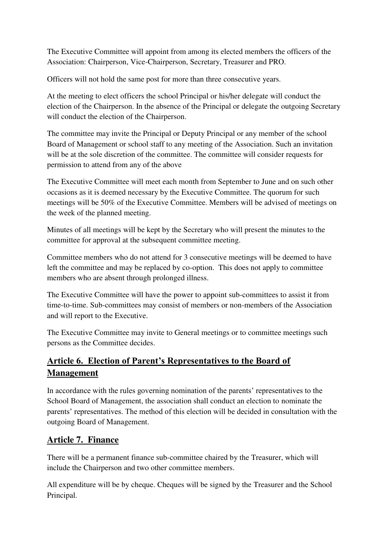The Executive Committee will appoint from among its elected members the officers of the Association: Chairperson, Vice-Chairperson, Secretary, Treasurer and PRO.

Officers will not hold the same post for more than three consecutive years.

At the meeting to elect officers the school Principal or his/her delegate will conduct the election of the Chairperson. In the absence of the Principal or delegate the outgoing Secretary will conduct the election of the Chairperson.

The committee may invite the Principal or Deputy Principal or any member of the school Board of Management or school staff to any meeting of the Association. Such an invitation will be at the sole discretion of the committee. The committee will consider requests for permission to attend from any of the above

The Executive Committee will meet each month from September to June and on such other occasions as it is deemed necessary by the Executive Committee. The quorum for such meetings will be 50% of the Executive Committee. Members will be advised of meetings on the week of the planned meeting.

Minutes of all meetings will be kept by the Secretary who will present the minutes to the committee for approval at the subsequent committee meeting.

Committee members who do not attend for 3 consecutive meetings will be deemed to have left the committee and may be replaced by co-option. This does not apply to committee members who are absent through prolonged illness.

The Executive Committee will have the power to appoint sub-committees to assist it from time-to-time. Sub-committees may consist of members or non-members of the Association and will report to the Executive.

The Executive Committee may invite to General meetings or to committee meetings such persons as the Committee decides.

# **Article 6. Election of Parent's Representatives to the Board of Management**

In accordance with the rules governing nomination of the parents' representatives to the School Board of Management, the association shall conduct an election to nominate the parents' representatives. The method of this election will be decided in consultation with the outgoing Board of Management.

## **Article 7. Finance**

There will be a permanent finance sub-committee chaired by the Treasurer, which will include the Chairperson and two other committee members.

All expenditure will be by cheque. Cheques will be signed by the Treasurer and the School Principal.